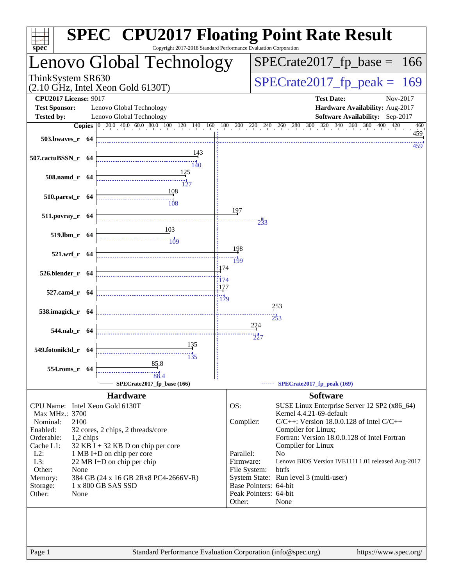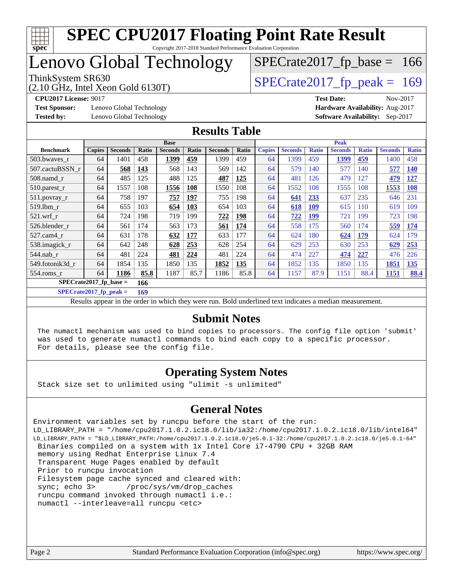

Copyright 2017-2018 Standard Performance Evaluation Corporation

# Lenovo Global Technology

(2.10 GHz, Intel Xeon Gold 6130T)

ThinkSystem SR630<br>(2.10 GHz, Intel Xeon Gold 6130T)  $SPECTate2017$  [p\_peak = 169

 $SPECTate2017_fp\_base = 166$ 

**[Test Sponsor:](http://www.spec.org/auto/cpu2017/Docs/result-fields.html#TestSponsor)** Lenovo Global Technology **[Hardware Availability:](http://www.spec.org/auto/cpu2017/Docs/result-fields.html#HardwareAvailability)** Aug-2017 **[Tested by:](http://www.spec.org/auto/cpu2017/Docs/result-fields.html#Testedby)** Lenovo Global Technology **[Software Availability:](http://www.spec.org/auto/cpu2017/Docs/result-fields.html#SoftwareAvailability)** Sep-2017

**[CPU2017 License:](http://www.spec.org/auto/cpu2017/Docs/result-fields.html#CPU2017License)** 9017 **[Test Date:](http://www.spec.org/auto/cpu2017/Docs/result-fields.html#TestDate)** Nov-2017

#### **[Results Table](http://www.spec.org/auto/cpu2017/Docs/result-fields.html#ResultsTable)**

|                          |               |                |       | <b>Base</b>    |              |                |       |               |                |              | <b>Peak</b>    |              |                |              |
|--------------------------|---------------|----------------|-------|----------------|--------------|----------------|-------|---------------|----------------|--------------|----------------|--------------|----------------|--------------|
| <b>Benchmark</b>         | <b>Copies</b> | <b>Seconds</b> | Ratio | <b>Seconds</b> | <b>Ratio</b> | <b>Seconds</b> | Ratio | <b>Copies</b> | <b>Seconds</b> | <b>Ratio</b> | <b>Seconds</b> | <b>Ratio</b> | <b>Seconds</b> | <b>Ratio</b> |
| 503.bwaves_r             | 64            | 1401           | 458   | 1399           | 459          | 1399           | 459   | 64            | 1399           | 459          | <u>1399</u>    | 459          | 1400           | 458          |
| 507.cactuBSSN r          | 64            | 568            | 143   | 568            | 143          | 569            | 142   | 64            | 579            | 140          | 577            | 140          | 577            | <b>140</b>   |
| $508$ .namd $r$          | 64            | 485            | 125   | 488            | 125          | 487            | 125   | 64            | 481            | 126          | 479            | 127          | 479            | <u>127</u>   |
| 510.parest_r             | 64            | 1557           | 108   | 1556           | 108          | 1550           | 108   | 64            | 1552           | 108          | 1555           | 108          | 1553           | <b>108</b>   |
| 511.povray_r             | 64            | 758            | 197   | 757            | 197          | 755            | 198   | 64            | 641            | 233          | 637            | 235          | 646            | 231          |
| 519.lbm r                | 64            | 655            | 103   | 654            | 103          | 654            | 103   | 64            | 618            | <u>109</u>   | 615            | 110          | 619            | 109          |
| $521$ .wrf r             | 64            | 724            | 198   | 719            | 199          | 722            | 198   | 64            | 722            | <u>199</u>   | 721            | 199          | 723            | 198          |
| 526.blender r            | 64            | 561            | 174   | 563            | 173          | 561            | 174   | 64            | 558            | 175          | 560            | 174          | 559            | <b>174</b>   |
| 527.cam4 r               | 64            | 631            | 178   | 632            | 177          | 633            | 177   | 64            | 624            | 180          | 624            | 179          | 624            | 179          |
| 538.imagick_r            | 64            | 642            | 248   | 628            | 253          | 628            | 254   | 64            | 629            | 253          | 630            | 253          | 629            | 253          |
| $544$ .nab r             | 64            | 481            | 224   | 481            | 224          | 481            | 224   | 64            | 474            | 227          | 474            | 227          | 476            | 226          |
| 549.fotonik3d r          | 64            | 1854           | 135   | 1850           | 135          | 1852           | 135   | 64            | 1852           | 135          | 1850           | 135          | 1851           | 135          |
| $554$ .roms $r$          | 64            | 1186           | 85.8  | 1187           | 85.7         | 1186           | 85.8  | 64            | 1157           | 87.9         | 1151           | 88.4         | 1151           | 88.4         |
| $SPECrate2017$ fp base = |               |                | 166   |                |              |                |       |               |                |              |                |              |                |              |

**[SPECrate2017\\_fp\\_peak =](http://www.spec.org/auto/cpu2017/Docs/result-fields.html#SPECrate2017fppeak) 169**

Results appear in the [order in which they were run.](http://www.spec.org/auto/cpu2017/Docs/result-fields.html#RunOrder) Bold underlined text [indicates a median measurement.](http://www.spec.org/auto/cpu2017/Docs/result-fields.html#Median)

#### **[Submit Notes](http://www.spec.org/auto/cpu2017/Docs/result-fields.html#SubmitNotes)**

 The numactl mechanism was used to bind copies to processors. The config file option 'submit' was used to generate numactl commands to bind each copy to a specific processor. For details, please see the config file.

#### **[Operating System Notes](http://www.spec.org/auto/cpu2017/Docs/result-fields.html#OperatingSystemNotes)**

Stack size set to unlimited using "ulimit -s unlimited"

#### **[General Notes](http://www.spec.org/auto/cpu2017/Docs/result-fields.html#GeneralNotes)**

Environment variables set by runcpu before the start of the run: LD\_LIBRARY\_PATH = "/home/cpu2017.1.0.2.ic18.0/lib/ia32:/home/cpu2017.1.0.2.ic18.0/lib/intel64" LD\_LIBRARY\_PATH = "\$LD\_LIBRARY\_PATH:/home/cpu2017.1.0.2.ic18.0/je5.0.1-32:/home/cpu2017.1.0.2.ic18.0/je5.0.1-64" Binaries compiled on a system with 1x Intel Core i7-4790 CPU + 32GB RAM memory using Redhat Enterprise Linux 7.4 Transparent Huge Pages enabled by default Prior to runcpu invocation Filesystem page cache synced and cleared with: sync; echo 3> /proc/sys/vm/drop\_caches runcpu command invoked through numactl i.e.: numactl --interleave=all runcpu <etc>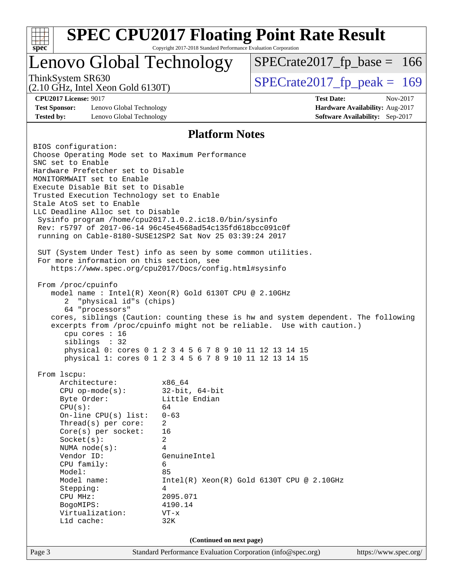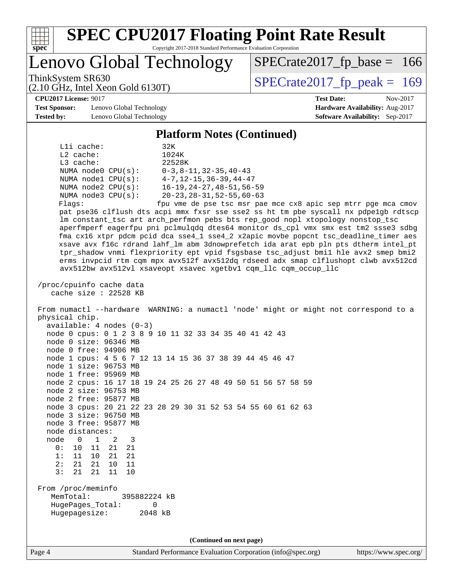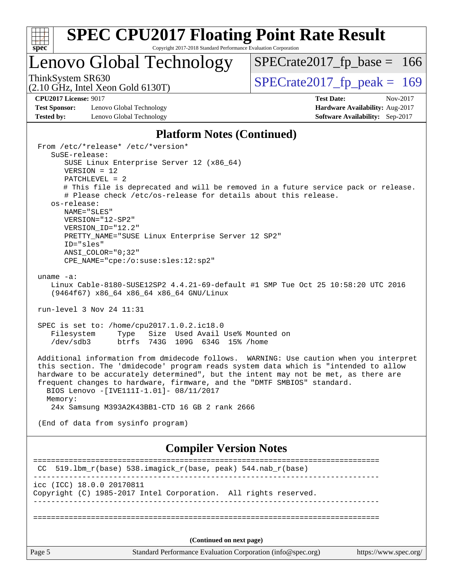| S. | De | ι. |  |
|----|----|----|--|

Copyright 2017-2018 Standard Performance Evaluation Corporation

## Lenovo Global Technology

ThinkSystem SR630<br>  $(2.10 \text{ GHz})$  Intel Xeon Gold 6130T)

[SPECrate2017\\_fp\\_base =](http://www.spec.org/auto/cpu2017/Docs/result-fields.html#SPECrate2017fpbase) 166

## (2.10 GHz, Intel Xeon Gold 6130T)

**[Test Sponsor:](http://www.spec.org/auto/cpu2017/Docs/result-fields.html#TestSponsor)** Lenovo Global Technology **[Hardware Availability:](http://www.spec.org/auto/cpu2017/Docs/result-fields.html#HardwareAvailability)** Aug-2017 **[Tested by:](http://www.spec.org/auto/cpu2017/Docs/result-fields.html#Testedby)** Lenovo Global Technology **[Software Availability:](http://www.spec.org/auto/cpu2017/Docs/result-fields.html#SoftwareAvailability)** Sep-2017

**[CPU2017 License:](http://www.spec.org/auto/cpu2017/Docs/result-fields.html#CPU2017License)** 9017 **[Test Date:](http://www.spec.org/auto/cpu2017/Docs/result-fields.html#TestDate)** Nov-2017

#### **[Platform Notes \(Continued\)](http://www.spec.org/auto/cpu2017/Docs/result-fields.html#PlatformNotes)**

| SUSE Linux Enterprise Server 12 (x86_64)<br>$VERSION = 12$<br>$PATCHLEVEL = 2$<br># This file is deprecated and will be removed in a future service pack or release.<br># Please check /etc/os-release for details about this release.<br>os-release:<br>NAME="SLES"<br>VERSION="12-SP2"<br>VERSION_ID="12.2"<br>PRETTY_NAME="SUSE Linux Enterprise Server 12 SP2"<br>ID="sles"<br>$ANSI$ _COLOR="0;32"<br>CPE_NAME="cpe:/o:suse:sles:12:sp2"<br>uname $-a$ :<br>Linux Cable-8180-SUSE12SP2 4.4.21-69-default #1 SMP Tue Oct 25 10:58:20 UTC 2016<br>(9464f67) x86_64 x86_64 x86_64 GNU/Linux<br>run-level 3 Nov 24 11:31<br>SPEC is set to: /home/cpu2017.1.0.2.ic18.0<br>Filesystem<br>Type Size Used Avail Use% Mounted on<br>/dev/sdb3<br>btrfs 743G 109G 634G 15% / home<br>Additional information from dmidecode follows. WARNING: Use caution when you interpret<br>this section. The 'dmidecode' program reads system data which is "intended to allow<br>hardware to be accurately determined", but the intent may not be met, as there are<br>frequent changes to hardware, firmware, and the "DMTF SMBIOS" standard.<br>BIOS Lenovo -[IVE111I-1.01]- 08/11/2017<br>Memory:<br>24x Samsung M393A2K43BB1-CTD 16 GB 2 rank 2666<br>(End of data from sysinfo program)<br><b>Compiler Version Notes</b><br>-----------------------<br>519.1bm_r(base) 538.imagick_r(base, peak) 544.nab_r(base)<br>CC | From /etc/*release* /etc/*version*<br>SuSE-release:                                          |  |
|--------------------------------------------------------------------------------------------------------------------------------------------------------------------------------------------------------------------------------------------------------------------------------------------------------------------------------------------------------------------------------------------------------------------------------------------------------------------------------------------------------------------------------------------------------------------------------------------------------------------------------------------------------------------------------------------------------------------------------------------------------------------------------------------------------------------------------------------------------------------------------------------------------------------------------------------------------------------------------------------------------------------------------------------------------------------------------------------------------------------------------------------------------------------------------------------------------------------------------------------------------------------------------------------------------------------------------------------------------------------------------------------------------------|----------------------------------------------------------------------------------------------|--|
|                                                                                                                                                                                                                                                                                                                                                                                                                                                                                                                                                                                                                                                                                                                                                                                                                                                                                                                                                                                                                                                                                                                                                                                                                                                                                                                                                                                                              |                                                                                              |  |
|                                                                                                                                                                                                                                                                                                                                                                                                                                                                                                                                                                                                                                                                                                                                                                                                                                                                                                                                                                                                                                                                                                                                                                                                                                                                                                                                                                                                              |                                                                                              |  |
|                                                                                                                                                                                                                                                                                                                                                                                                                                                                                                                                                                                                                                                                                                                                                                                                                                                                                                                                                                                                                                                                                                                                                                                                                                                                                                                                                                                                              |                                                                                              |  |
|                                                                                                                                                                                                                                                                                                                                                                                                                                                                                                                                                                                                                                                                                                                                                                                                                                                                                                                                                                                                                                                                                                                                                                                                                                                                                                                                                                                                              |                                                                                              |  |
|                                                                                                                                                                                                                                                                                                                                                                                                                                                                                                                                                                                                                                                                                                                                                                                                                                                                                                                                                                                                                                                                                                                                                                                                                                                                                                                                                                                                              |                                                                                              |  |
|                                                                                                                                                                                                                                                                                                                                                                                                                                                                                                                                                                                                                                                                                                                                                                                                                                                                                                                                                                                                                                                                                                                                                                                                                                                                                                                                                                                                              |                                                                                              |  |
|                                                                                                                                                                                                                                                                                                                                                                                                                                                                                                                                                                                                                                                                                                                                                                                                                                                                                                                                                                                                                                                                                                                                                                                                                                                                                                                                                                                                              |                                                                                              |  |
|                                                                                                                                                                                                                                                                                                                                                                                                                                                                                                                                                                                                                                                                                                                                                                                                                                                                                                                                                                                                                                                                                                                                                                                                                                                                                                                                                                                                              |                                                                                              |  |
|                                                                                                                                                                                                                                                                                                                                                                                                                                                                                                                                                                                                                                                                                                                                                                                                                                                                                                                                                                                                                                                                                                                                                                                                                                                                                                                                                                                                              |                                                                                              |  |
|                                                                                                                                                                                                                                                                                                                                                                                                                                                                                                                                                                                                                                                                                                                                                                                                                                                                                                                                                                                                                                                                                                                                                                                                                                                                                                                                                                                                              |                                                                                              |  |
|                                                                                                                                                                                                                                                                                                                                                                                                                                                                                                                                                                                                                                                                                                                                                                                                                                                                                                                                                                                                                                                                                                                                                                                                                                                                                                                                                                                                              |                                                                                              |  |
|                                                                                                                                                                                                                                                                                                                                                                                                                                                                                                                                                                                                                                                                                                                                                                                                                                                                                                                                                                                                                                                                                                                                                                                                                                                                                                                                                                                                              |                                                                                              |  |
|                                                                                                                                                                                                                                                                                                                                                                                                                                                                                                                                                                                                                                                                                                                                                                                                                                                                                                                                                                                                                                                                                                                                                                                                                                                                                                                                                                                                              |                                                                                              |  |
|                                                                                                                                                                                                                                                                                                                                                                                                                                                                                                                                                                                                                                                                                                                                                                                                                                                                                                                                                                                                                                                                                                                                                                                                                                                                                                                                                                                                              |                                                                                              |  |
|                                                                                                                                                                                                                                                                                                                                                                                                                                                                                                                                                                                                                                                                                                                                                                                                                                                                                                                                                                                                                                                                                                                                                                                                                                                                                                                                                                                                              |                                                                                              |  |
|                                                                                                                                                                                                                                                                                                                                                                                                                                                                                                                                                                                                                                                                                                                                                                                                                                                                                                                                                                                                                                                                                                                                                                                                                                                                                                                                                                                                              | icc (ICC) 18.0.0 20170811<br>Copyright (C) 1985-2017 Intel Corporation. All rights reserved. |  |
|                                                                                                                                                                                                                                                                                                                                                                                                                                                                                                                                                                                                                                                                                                                                                                                                                                                                                                                                                                                                                                                                                                                                                                                                                                                                                                                                                                                                              |                                                                                              |  |
| (Continued on next page)                                                                                                                                                                                                                                                                                                                                                                                                                                                                                                                                                                                                                                                                                                                                                                                                                                                                                                                                                                                                                                                                                                                                                                                                                                                                                                                                                                                     |                                                                                              |  |
| Standard Performance Evaluation Corporation (info@spec.org)<br>https://www.spec.org/                                                                                                                                                                                                                                                                                                                                                                                                                                                                                                                                                                                                                                                                                                                                                                                                                                                                                                                                                                                                                                                                                                                                                                                                                                                                                                                         | Page 5                                                                                       |  |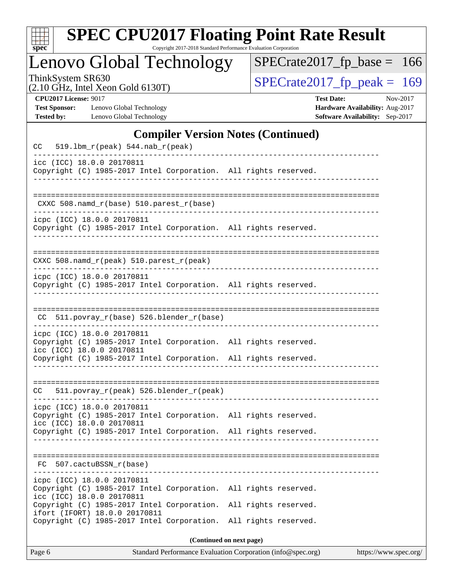| S | рe |  |
|---|----|--|

Copyright 2017-2018 Standard Performance Evaluation Corporation

Lenovo Global Technology

ThinkSystem SR630<br>  $(2.10 \text{ GHz})$  Intel Xeon Gold 6130T)

[SPECrate2017\\_fp\\_base =](http://www.spec.org/auto/cpu2017/Docs/result-fields.html#SPECrate2017fpbase) 166

(2.10 GHz, Intel Xeon Gold 6130T)

**[CPU2017 License:](http://www.spec.org/auto/cpu2017/Docs/result-fields.html#CPU2017License)** 9017 **[Test Date:](http://www.spec.org/auto/cpu2017/Docs/result-fields.html#TestDate)** Nov-2017 **[Test Sponsor:](http://www.spec.org/auto/cpu2017/Docs/result-fields.html#TestSponsor)** Lenovo Global Technology **[Hardware Availability:](http://www.spec.org/auto/cpu2017/Docs/result-fields.html#HardwareAvailability)** Aug-2017 **[Tested by:](http://www.spec.org/auto/cpu2017/Docs/result-fields.html#Testedby)** Lenovo Global Technology **[Software Availability:](http://www.spec.org/auto/cpu2017/Docs/result-fields.html#SoftwareAvailability)** Sep-2017

#### **[Compiler Version Notes \(Continued\)](http://www.spec.org/auto/cpu2017/Docs/result-fields.html#CompilerVersionNotes)**

| $519.1bm_r(peak) 544.nab_r(peak)$<br>CC.                                                                                                                                                      |
|-----------------------------------------------------------------------------------------------------------------------------------------------------------------------------------------------|
| icc (ICC) 18.0.0 20170811<br>Copyright (C) 1985-2017 Intel Corporation. All rights reserved.                                                                                                  |
| CXXC 508.namd_r(base) 510.parest_r(base)                                                                                                                                                      |
| icpc (ICC) 18.0.0 20170811<br>Copyright (C) 1985-2017 Intel Corporation. All rights reserved.                                                                                                 |
| CXXC 508.namd_r(peak) 510.parest_r(peak)                                                                                                                                                      |
| icpc (ICC) 18.0.0 20170811<br>Copyright (C) 1985-2017 Intel Corporation. All rights reserved.                                                                                                 |
| 511.povray_r(base) 526.blender_r(base)<br>CC.                                                                                                                                                 |
| icpc (ICC) 18.0.0 20170811<br>Copyright (C) 1985-2017 Intel Corporation. All rights reserved.<br>icc (ICC) 18.0.0 20170811                                                                    |
| Copyright (C) 1985-2017 Intel Corporation. All rights reserved.                                                                                                                               |
| 511.povray_r(peak) 526.blender_r(peak)<br>CC.                                                                                                                                                 |
| icpc (ICC) 18.0.0 20170811<br>Copyright (C) 1985-2017 Intel Corporation. All rights reserved.<br>icc (ICC) 18.0.0 20170811<br>Copyright (C) 1985-2017 Intel Corporation. All rights reserved. |
|                                                                                                                                                                                               |
| 507.cactuBSSN r(base)<br>FC.                                                                                                                                                                  |
| icpc (ICC) 18.0.0 20170811<br>Copyright (C) 1985-2017 Intel Corporation.<br>All rights reserved.<br>icc (ICC) 18.0.0 20170811                                                                 |
| Copyright (C) 1985-2017 Intel Corporation.<br>All rights reserved.<br>ifort (IFORT) 18.0.0 20170811<br>Copyright (C) 1985-2017 Intel Corporation.<br>All rights reserved.                     |
| (Continued on next page)                                                                                                                                                                      |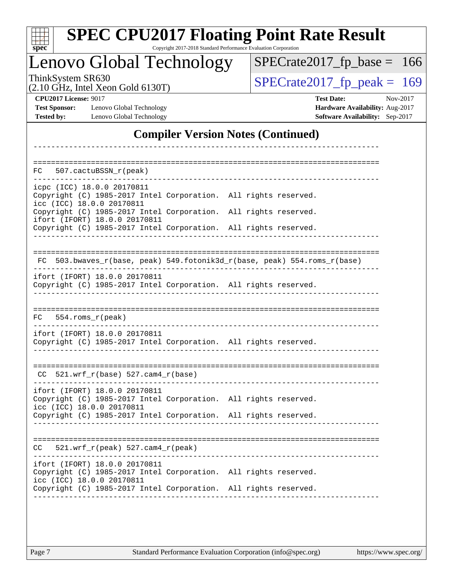| spec <sup>®</sup> |          |
|-------------------|----------|
| −.                | nov<br>V |

Copyright 2017-2018 Standard Performance Evaluation Corporation

**Global Technology** 

ThinkSystem SR630<br>  $(2.10 \text{ GHz})$  Intel Xeon Gold 6130T)

[SPECrate2017\\_fp\\_base =](http://www.spec.org/auto/cpu2017/Docs/result-fields.html#SPECrate2017fpbase) 166

(2.10 GHz, Intel Xeon Gold 6130T)

**[Test Sponsor:](http://www.spec.org/auto/cpu2017/Docs/result-fields.html#TestSponsor)** Lenovo Global Technology **[Hardware Availability:](http://www.spec.org/auto/cpu2017/Docs/result-fields.html#HardwareAvailability)** Aug-2017 **[Tested by:](http://www.spec.org/auto/cpu2017/Docs/result-fields.html#Testedby)** Lenovo Global Technology **[Software Availability:](http://www.spec.org/auto/cpu2017/Docs/result-fields.html#SoftwareAvailability)** Sep-2017

**[CPU2017 License:](http://www.spec.org/auto/cpu2017/Docs/result-fields.html#CPU2017License)** 9017 **[Test Date:](http://www.spec.org/auto/cpu2017/Docs/result-fields.html#TestDate)** Nov-2017

#### **[Compiler Version Notes \(Continued\)](http://www.spec.org/auto/cpu2017/Docs/result-fields.html#CompilerVersionNotes)**

| 507.cactuBSSN r(peak)<br>FC.                                                                                                  |                                                                       |
|-------------------------------------------------------------------------------------------------------------------------------|-----------------------------------------------------------------------|
| icpc (ICC) 18.0.0 20170811<br>Copyright (C) 1985-2017 Intel Corporation. All rights reserved.                                 |                                                                       |
| icc (ICC) 18.0.0 20170811<br>Copyright (C) 1985-2017 Intel Corporation. All rights reserved.<br>ifort (IFORT) 18.0.0 20170811 |                                                                       |
| Copyright (C) 1985-2017 Intel Corporation. All rights reserved.                                                               |                                                                       |
| FC.                                                                                                                           | 503.bwaves_r(base, peak) 549.fotonik3d_r(base, peak) 554.roms_r(base) |
| ifort (IFORT) 18.0.0 20170811<br>Copyright (C) 1985-2017 Intel Corporation. All rights reserved.                              |                                                                       |
| FC.<br>$554.rows_r(peak)$                                                                                                     |                                                                       |
| ifort (IFORT) 18.0.0 20170811<br>Copyright (C) 1985-2017 Intel Corporation. All rights reserved.                              |                                                                       |
| $521.wrf_r(base) 527.cam4_r(base)$<br>CC.                                                                                     |                                                                       |
| ifort (IFORT) 18.0.0 20170811<br>Copyright (C) 1985-2017 Intel Corporation. All rights reserved.<br>icc (ICC) 18.0.0 20170811 |                                                                       |
| Copyright (C) 1985-2017 Intel Corporation. All rights reserved.                                                               |                                                                       |
| 521.wrf_r(peak) 527.cam4_r(peak)<br>CC.                                                                                       |                                                                       |
| ifort (IFORT) 18.0.0 20170811<br>Copyright (C) 1985-2017 Intel Corporation. All rights reserved.<br>icc (ICC) 18.0.0 20170811 |                                                                       |
| Copyright (C) 1985-2017 Intel Corporation. All rights reserved.                                                               |                                                                       |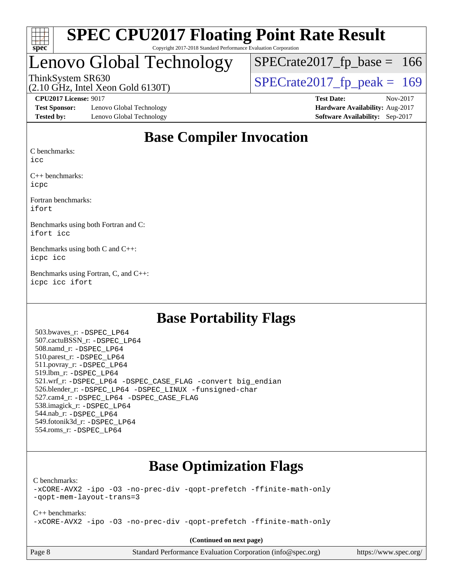

#### **[SPEC CPU2017 Floating Point Rate Result](http://www.spec.org/auto/cpu2017/Docs/result-fields.html#SPECCPU2017FloatingPointRateResult)** Copyright 2017-2018 Standard Performance Evaluation Corporation

## Lenovo Global Technology

ThinkSystem SR630<br>(2.10 GHz, Intel Xeon Gold 6130T)  $SPECTate2017$  [p\_peak = 169  $SPECTate2017_fp\_base = 166$ 

(2.10 GHz, Intel Xeon Gold 6130T)

**[Test Sponsor:](http://www.spec.org/auto/cpu2017/Docs/result-fields.html#TestSponsor)** Lenovo Global Technology **[Hardware Availability:](http://www.spec.org/auto/cpu2017/Docs/result-fields.html#HardwareAvailability)** Aug-2017 **[Tested by:](http://www.spec.org/auto/cpu2017/Docs/result-fields.html#Testedby)** Lenovo Global Technology **[Software Availability:](http://www.spec.org/auto/cpu2017/Docs/result-fields.html#SoftwareAvailability)** Sep-2017

**[CPU2017 License:](http://www.spec.org/auto/cpu2017/Docs/result-fields.html#CPU2017License)** 9017 **[Test Date:](http://www.spec.org/auto/cpu2017/Docs/result-fields.html#TestDate)** Nov-2017

### **[Base Compiler Invocation](http://www.spec.org/auto/cpu2017/Docs/result-fields.html#BaseCompilerInvocation)**

[C benchmarks](http://www.spec.org/auto/cpu2017/Docs/result-fields.html#Cbenchmarks):

[icc](http://www.spec.org/cpu2017/results/res2017q4/cpu2017-20171128-01180.flags.html#user_CCbase_intel_icc_18.0_66fc1ee009f7361af1fbd72ca7dcefbb700085f36577c54f309893dd4ec40d12360134090235512931783d35fd58c0460139e722d5067c5574d8eaf2b3e37e92)

[C++ benchmarks:](http://www.spec.org/auto/cpu2017/Docs/result-fields.html#CXXbenchmarks) [icpc](http://www.spec.org/cpu2017/results/res2017q4/cpu2017-20171128-01180.flags.html#user_CXXbase_intel_icpc_18.0_c510b6838c7f56d33e37e94d029a35b4a7bccf4766a728ee175e80a419847e808290a9b78be685c44ab727ea267ec2f070ec5dc83b407c0218cded6866a35d07)

[Fortran benchmarks](http://www.spec.org/auto/cpu2017/Docs/result-fields.html#Fortranbenchmarks): [ifort](http://www.spec.org/cpu2017/results/res2017q4/cpu2017-20171128-01180.flags.html#user_FCbase_intel_ifort_18.0_8111460550e3ca792625aed983ce982f94888b8b503583aa7ba2b8303487b4d8a21a13e7191a45c5fd58ff318f48f9492884d4413fa793fd88dd292cad7027ca)

[Benchmarks using both Fortran and C](http://www.spec.org/auto/cpu2017/Docs/result-fields.html#BenchmarksusingbothFortranandC): [ifort](http://www.spec.org/cpu2017/results/res2017q4/cpu2017-20171128-01180.flags.html#user_CC_FCbase_intel_ifort_18.0_8111460550e3ca792625aed983ce982f94888b8b503583aa7ba2b8303487b4d8a21a13e7191a45c5fd58ff318f48f9492884d4413fa793fd88dd292cad7027ca) [icc](http://www.spec.org/cpu2017/results/res2017q4/cpu2017-20171128-01180.flags.html#user_CC_FCbase_intel_icc_18.0_66fc1ee009f7361af1fbd72ca7dcefbb700085f36577c54f309893dd4ec40d12360134090235512931783d35fd58c0460139e722d5067c5574d8eaf2b3e37e92)

[Benchmarks using both C and C++:](http://www.spec.org/auto/cpu2017/Docs/result-fields.html#BenchmarksusingbothCandCXX) [icpc](http://www.spec.org/cpu2017/results/res2017q4/cpu2017-20171128-01180.flags.html#user_CC_CXXbase_intel_icpc_18.0_c510b6838c7f56d33e37e94d029a35b4a7bccf4766a728ee175e80a419847e808290a9b78be685c44ab727ea267ec2f070ec5dc83b407c0218cded6866a35d07) [icc](http://www.spec.org/cpu2017/results/res2017q4/cpu2017-20171128-01180.flags.html#user_CC_CXXbase_intel_icc_18.0_66fc1ee009f7361af1fbd72ca7dcefbb700085f36577c54f309893dd4ec40d12360134090235512931783d35fd58c0460139e722d5067c5574d8eaf2b3e37e92)

[Benchmarks using Fortran, C, and C++:](http://www.spec.org/auto/cpu2017/Docs/result-fields.html#BenchmarksusingFortranCandCXX) [icpc](http://www.spec.org/cpu2017/results/res2017q4/cpu2017-20171128-01180.flags.html#user_CC_CXX_FCbase_intel_icpc_18.0_c510b6838c7f56d33e37e94d029a35b4a7bccf4766a728ee175e80a419847e808290a9b78be685c44ab727ea267ec2f070ec5dc83b407c0218cded6866a35d07) [icc](http://www.spec.org/cpu2017/results/res2017q4/cpu2017-20171128-01180.flags.html#user_CC_CXX_FCbase_intel_icc_18.0_66fc1ee009f7361af1fbd72ca7dcefbb700085f36577c54f309893dd4ec40d12360134090235512931783d35fd58c0460139e722d5067c5574d8eaf2b3e37e92) [ifort](http://www.spec.org/cpu2017/results/res2017q4/cpu2017-20171128-01180.flags.html#user_CC_CXX_FCbase_intel_ifort_18.0_8111460550e3ca792625aed983ce982f94888b8b503583aa7ba2b8303487b4d8a21a13e7191a45c5fd58ff318f48f9492884d4413fa793fd88dd292cad7027ca)

#### **[Base Portability Flags](http://www.spec.org/auto/cpu2017/Docs/result-fields.html#BasePortabilityFlags)**

 503.bwaves\_r: [-DSPEC\\_LP64](http://www.spec.org/cpu2017/results/res2017q4/cpu2017-20171128-01180.flags.html#suite_basePORTABILITY503_bwaves_r_DSPEC_LP64) 507.cactuBSSN\_r: [-DSPEC\\_LP64](http://www.spec.org/cpu2017/results/res2017q4/cpu2017-20171128-01180.flags.html#suite_basePORTABILITY507_cactuBSSN_r_DSPEC_LP64) 508.namd\_r: [-DSPEC\\_LP64](http://www.spec.org/cpu2017/results/res2017q4/cpu2017-20171128-01180.flags.html#suite_basePORTABILITY508_namd_r_DSPEC_LP64) 510.parest\_r: [-DSPEC\\_LP64](http://www.spec.org/cpu2017/results/res2017q4/cpu2017-20171128-01180.flags.html#suite_basePORTABILITY510_parest_r_DSPEC_LP64) 511.povray\_r: [-DSPEC\\_LP64](http://www.spec.org/cpu2017/results/res2017q4/cpu2017-20171128-01180.flags.html#suite_basePORTABILITY511_povray_r_DSPEC_LP64) 519.lbm\_r: [-DSPEC\\_LP64](http://www.spec.org/cpu2017/results/res2017q4/cpu2017-20171128-01180.flags.html#suite_basePORTABILITY519_lbm_r_DSPEC_LP64) 521.wrf\_r: [-DSPEC\\_LP64](http://www.spec.org/cpu2017/results/res2017q4/cpu2017-20171128-01180.flags.html#suite_basePORTABILITY521_wrf_r_DSPEC_LP64) [-DSPEC\\_CASE\\_FLAG](http://www.spec.org/cpu2017/results/res2017q4/cpu2017-20171128-01180.flags.html#b521.wrf_r_baseCPORTABILITY_DSPEC_CASE_FLAG) [-convert big\\_endian](http://www.spec.org/cpu2017/results/res2017q4/cpu2017-20171128-01180.flags.html#user_baseFPORTABILITY521_wrf_r_convert_big_endian_c3194028bc08c63ac5d04de18c48ce6d347e4e562e8892b8bdbdc0214820426deb8554edfa529a3fb25a586e65a3d812c835984020483e7e73212c4d31a38223) 526.blender\_r: [-DSPEC\\_LP64](http://www.spec.org/cpu2017/results/res2017q4/cpu2017-20171128-01180.flags.html#suite_basePORTABILITY526_blender_r_DSPEC_LP64) [-DSPEC\\_LINUX](http://www.spec.org/cpu2017/results/res2017q4/cpu2017-20171128-01180.flags.html#b526.blender_r_baseCPORTABILITY_DSPEC_LINUX) [-funsigned-char](http://www.spec.org/cpu2017/results/res2017q4/cpu2017-20171128-01180.flags.html#user_baseCPORTABILITY526_blender_r_force_uchar_40c60f00ab013830e2dd6774aeded3ff59883ba5a1fc5fc14077f794d777847726e2a5858cbc7672e36e1b067e7e5c1d9a74f7176df07886a243d7cc18edfe67) 527.cam4\_r: [-DSPEC\\_LP64](http://www.spec.org/cpu2017/results/res2017q4/cpu2017-20171128-01180.flags.html#suite_basePORTABILITY527_cam4_r_DSPEC_LP64) [-DSPEC\\_CASE\\_FLAG](http://www.spec.org/cpu2017/results/res2017q4/cpu2017-20171128-01180.flags.html#b527.cam4_r_baseCPORTABILITY_DSPEC_CASE_FLAG) 538.imagick\_r: [-DSPEC\\_LP64](http://www.spec.org/cpu2017/results/res2017q4/cpu2017-20171128-01180.flags.html#suite_basePORTABILITY538_imagick_r_DSPEC_LP64) 544.nab\_r: [-DSPEC\\_LP64](http://www.spec.org/cpu2017/results/res2017q4/cpu2017-20171128-01180.flags.html#suite_basePORTABILITY544_nab_r_DSPEC_LP64) 549.fotonik3d\_r: [-DSPEC\\_LP64](http://www.spec.org/cpu2017/results/res2017q4/cpu2017-20171128-01180.flags.html#suite_basePORTABILITY549_fotonik3d_r_DSPEC_LP64) 554.roms\_r: [-DSPEC\\_LP64](http://www.spec.org/cpu2017/results/res2017q4/cpu2017-20171128-01180.flags.html#suite_basePORTABILITY554_roms_r_DSPEC_LP64)

### **[Base Optimization Flags](http://www.spec.org/auto/cpu2017/Docs/result-fields.html#BaseOptimizationFlags)**

[C benchmarks](http://www.spec.org/auto/cpu2017/Docs/result-fields.html#Cbenchmarks):

[-xCORE-AVX2](http://www.spec.org/cpu2017/results/res2017q4/cpu2017-20171128-01180.flags.html#user_CCbase_f-xCORE-AVX2) [-ipo](http://www.spec.org/cpu2017/results/res2017q4/cpu2017-20171128-01180.flags.html#user_CCbase_f-ipo) [-O3](http://www.spec.org/cpu2017/results/res2017q4/cpu2017-20171128-01180.flags.html#user_CCbase_f-O3) [-no-prec-div](http://www.spec.org/cpu2017/results/res2017q4/cpu2017-20171128-01180.flags.html#user_CCbase_f-no-prec-div) [-qopt-prefetch](http://www.spec.org/cpu2017/results/res2017q4/cpu2017-20171128-01180.flags.html#user_CCbase_f-qopt-prefetch) [-ffinite-math-only](http://www.spec.org/cpu2017/results/res2017q4/cpu2017-20171128-01180.flags.html#user_CCbase_f_finite_math_only_cb91587bd2077682c4b38af759c288ed7c732db004271a9512da14a4f8007909a5f1427ecbf1a0fb78ff2a814402c6114ac565ca162485bbcae155b5e4258871) [-qopt-mem-layout-trans=3](http://www.spec.org/cpu2017/results/res2017q4/cpu2017-20171128-01180.flags.html#user_CCbase_f-qopt-mem-layout-trans_de80db37974c74b1f0e20d883f0b675c88c3b01e9d123adea9b28688d64333345fb62bc4a798493513fdb68f60282f9a726aa07f478b2f7113531aecce732043)

[C++ benchmarks:](http://www.spec.org/auto/cpu2017/Docs/result-fields.html#CXXbenchmarks) [-xCORE-AVX2](http://www.spec.org/cpu2017/results/res2017q4/cpu2017-20171128-01180.flags.html#user_CXXbase_f-xCORE-AVX2) [-ipo](http://www.spec.org/cpu2017/results/res2017q4/cpu2017-20171128-01180.flags.html#user_CXXbase_f-ipo) [-O3](http://www.spec.org/cpu2017/results/res2017q4/cpu2017-20171128-01180.flags.html#user_CXXbase_f-O3) [-no-prec-div](http://www.spec.org/cpu2017/results/res2017q4/cpu2017-20171128-01180.flags.html#user_CXXbase_f-no-prec-div) [-qopt-prefetch](http://www.spec.org/cpu2017/results/res2017q4/cpu2017-20171128-01180.flags.html#user_CXXbase_f-qopt-prefetch) [-ffinite-math-only](http://www.spec.org/cpu2017/results/res2017q4/cpu2017-20171128-01180.flags.html#user_CXXbase_f_finite_math_only_cb91587bd2077682c4b38af759c288ed7c732db004271a9512da14a4f8007909a5f1427ecbf1a0fb78ff2a814402c6114ac565ca162485bbcae155b5e4258871)

**(Continued on next page)**

| age 8 |  |
|-------|--|
|-------|--|

Page 8 Standard Performance Evaluation Corporation [\(info@spec.org\)](mailto:info@spec.org) <https://www.spec.org/>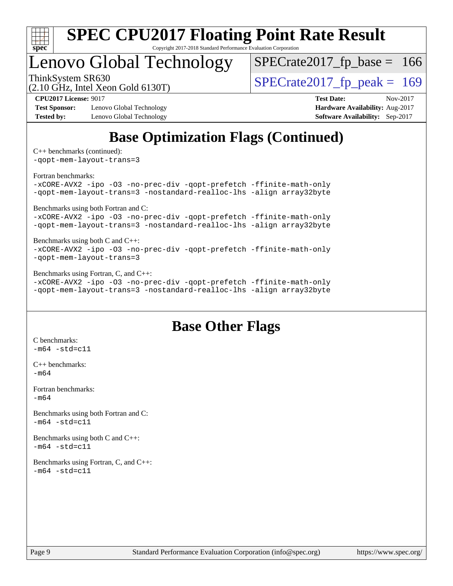

Copyright 2017-2018 Standard Performance Evaluation Corporation

## Lenovo Global Technology

ThinkSystem SR630<br>(2.10 GHz, Intel Xeon Gold 6130T)  $SPECTate2017$  [p\_peak = 169

 $SPECTate2017_fp\_base = 166$ 

(2.10 GHz, Intel Xeon Gold 6130T)

**[Test Sponsor:](http://www.spec.org/auto/cpu2017/Docs/result-fields.html#TestSponsor)** Lenovo Global Technology **[Hardware Availability:](http://www.spec.org/auto/cpu2017/Docs/result-fields.html#HardwareAvailability)** Aug-2017 **[Tested by:](http://www.spec.org/auto/cpu2017/Docs/result-fields.html#Testedby)** Lenovo Global Technology **[Software Availability:](http://www.spec.org/auto/cpu2017/Docs/result-fields.html#SoftwareAvailability)** Sep-2017

**[CPU2017 License:](http://www.spec.org/auto/cpu2017/Docs/result-fields.html#CPU2017License)** 9017 **[Test Date:](http://www.spec.org/auto/cpu2017/Docs/result-fields.html#TestDate)** Nov-2017

## **[Base Optimization Flags \(Continued\)](http://www.spec.org/auto/cpu2017/Docs/result-fields.html#BaseOptimizationFlags)**

[C++ benchmarks](http://www.spec.org/auto/cpu2017/Docs/result-fields.html#CXXbenchmarks) (continued):

[-qopt-mem-layout-trans=3](http://www.spec.org/cpu2017/results/res2017q4/cpu2017-20171128-01180.flags.html#user_CXXbase_f-qopt-mem-layout-trans_de80db37974c74b1f0e20d883f0b675c88c3b01e9d123adea9b28688d64333345fb62bc4a798493513fdb68f60282f9a726aa07f478b2f7113531aecce732043)

[Fortran benchmarks](http://www.spec.org/auto/cpu2017/Docs/result-fields.html#Fortranbenchmarks):

[-xCORE-AVX2](http://www.spec.org/cpu2017/results/res2017q4/cpu2017-20171128-01180.flags.html#user_FCbase_f-xCORE-AVX2) [-ipo](http://www.spec.org/cpu2017/results/res2017q4/cpu2017-20171128-01180.flags.html#user_FCbase_f-ipo) [-O3](http://www.spec.org/cpu2017/results/res2017q4/cpu2017-20171128-01180.flags.html#user_FCbase_f-O3) [-no-prec-div](http://www.spec.org/cpu2017/results/res2017q4/cpu2017-20171128-01180.flags.html#user_FCbase_f-no-prec-div) [-qopt-prefetch](http://www.spec.org/cpu2017/results/res2017q4/cpu2017-20171128-01180.flags.html#user_FCbase_f-qopt-prefetch) [-ffinite-math-only](http://www.spec.org/cpu2017/results/res2017q4/cpu2017-20171128-01180.flags.html#user_FCbase_f_finite_math_only_cb91587bd2077682c4b38af759c288ed7c732db004271a9512da14a4f8007909a5f1427ecbf1a0fb78ff2a814402c6114ac565ca162485bbcae155b5e4258871) [-qopt-mem-layout-trans=3](http://www.spec.org/cpu2017/results/res2017q4/cpu2017-20171128-01180.flags.html#user_FCbase_f-qopt-mem-layout-trans_de80db37974c74b1f0e20d883f0b675c88c3b01e9d123adea9b28688d64333345fb62bc4a798493513fdb68f60282f9a726aa07f478b2f7113531aecce732043) [-nostandard-realloc-lhs](http://www.spec.org/cpu2017/results/res2017q4/cpu2017-20171128-01180.flags.html#user_FCbase_f_2003_std_realloc_82b4557e90729c0f113870c07e44d33d6f5a304b4f63d4c15d2d0f1fab99f5daaed73bdb9275d9ae411527f28b936061aa8b9c8f2d63842963b95c9dd6426b8a) [-align array32byte](http://www.spec.org/cpu2017/results/res2017q4/cpu2017-20171128-01180.flags.html#user_FCbase_align_array32byte_b982fe038af199962ba9a80c053b8342c548c85b40b8e86eb3cc33dee0d7986a4af373ac2d51c3f7cf710a18d62fdce2948f201cd044323541f22fc0fffc51b6)

[Benchmarks using both Fortran and C](http://www.spec.org/auto/cpu2017/Docs/result-fields.html#BenchmarksusingbothFortranandC):

[-xCORE-AVX2](http://www.spec.org/cpu2017/results/res2017q4/cpu2017-20171128-01180.flags.html#user_CC_FCbase_f-xCORE-AVX2) [-ipo](http://www.spec.org/cpu2017/results/res2017q4/cpu2017-20171128-01180.flags.html#user_CC_FCbase_f-ipo) [-O3](http://www.spec.org/cpu2017/results/res2017q4/cpu2017-20171128-01180.flags.html#user_CC_FCbase_f-O3) [-no-prec-div](http://www.spec.org/cpu2017/results/res2017q4/cpu2017-20171128-01180.flags.html#user_CC_FCbase_f-no-prec-div) [-qopt-prefetch](http://www.spec.org/cpu2017/results/res2017q4/cpu2017-20171128-01180.flags.html#user_CC_FCbase_f-qopt-prefetch) [-ffinite-math-only](http://www.spec.org/cpu2017/results/res2017q4/cpu2017-20171128-01180.flags.html#user_CC_FCbase_f_finite_math_only_cb91587bd2077682c4b38af759c288ed7c732db004271a9512da14a4f8007909a5f1427ecbf1a0fb78ff2a814402c6114ac565ca162485bbcae155b5e4258871) [-qopt-mem-layout-trans=3](http://www.spec.org/cpu2017/results/res2017q4/cpu2017-20171128-01180.flags.html#user_CC_FCbase_f-qopt-mem-layout-trans_de80db37974c74b1f0e20d883f0b675c88c3b01e9d123adea9b28688d64333345fb62bc4a798493513fdb68f60282f9a726aa07f478b2f7113531aecce732043) [-nostandard-realloc-lhs](http://www.spec.org/cpu2017/results/res2017q4/cpu2017-20171128-01180.flags.html#user_CC_FCbase_f_2003_std_realloc_82b4557e90729c0f113870c07e44d33d6f5a304b4f63d4c15d2d0f1fab99f5daaed73bdb9275d9ae411527f28b936061aa8b9c8f2d63842963b95c9dd6426b8a) [-align array32byte](http://www.spec.org/cpu2017/results/res2017q4/cpu2017-20171128-01180.flags.html#user_CC_FCbase_align_array32byte_b982fe038af199962ba9a80c053b8342c548c85b40b8e86eb3cc33dee0d7986a4af373ac2d51c3f7cf710a18d62fdce2948f201cd044323541f22fc0fffc51b6)

[Benchmarks using both C and C++](http://www.spec.org/auto/cpu2017/Docs/result-fields.html#BenchmarksusingbothCandCXX):

[-xCORE-AVX2](http://www.spec.org/cpu2017/results/res2017q4/cpu2017-20171128-01180.flags.html#user_CC_CXXbase_f-xCORE-AVX2) [-ipo](http://www.spec.org/cpu2017/results/res2017q4/cpu2017-20171128-01180.flags.html#user_CC_CXXbase_f-ipo) [-O3](http://www.spec.org/cpu2017/results/res2017q4/cpu2017-20171128-01180.flags.html#user_CC_CXXbase_f-O3) [-no-prec-div](http://www.spec.org/cpu2017/results/res2017q4/cpu2017-20171128-01180.flags.html#user_CC_CXXbase_f-no-prec-div) [-qopt-prefetch](http://www.spec.org/cpu2017/results/res2017q4/cpu2017-20171128-01180.flags.html#user_CC_CXXbase_f-qopt-prefetch) [-ffinite-math-only](http://www.spec.org/cpu2017/results/res2017q4/cpu2017-20171128-01180.flags.html#user_CC_CXXbase_f_finite_math_only_cb91587bd2077682c4b38af759c288ed7c732db004271a9512da14a4f8007909a5f1427ecbf1a0fb78ff2a814402c6114ac565ca162485bbcae155b5e4258871) [-qopt-mem-layout-trans=3](http://www.spec.org/cpu2017/results/res2017q4/cpu2017-20171128-01180.flags.html#user_CC_CXXbase_f-qopt-mem-layout-trans_de80db37974c74b1f0e20d883f0b675c88c3b01e9d123adea9b28688d64333345fb62bc4a798493513fdb68f60282f9a726aa07f478b2f7113531aecce732043)

[Benchmarks using Fortran, C, and C++:](http://www.spec.org/auto/cpu2017/Docs/result-fields.html#BenchmarksusingFortranCandCXX)

[-xCORE-AVX2](http://www.spec.org/cpu2017/results/res2017q4/cpu2017-20171128-01180.flags.html#user_CC_CXX_FCbase_f-xCORE-AVX2) [-ipo](http://www.spec.org/cpu2017/results/res2017q4/cpu2017-20171128-01180.flags.html#user_CC_CXX_FCbase_f-ipo) [-O3](http://www.spec.org/cpu2017/results/res2017q4/cpu2017-20171128-01180.flags.html#user_CC_CXX_FCbase_f-O3) [-no-prec-div](http://www.spec.org/cpu2017/results/res2017q4/cpu2017-20171128-01180.flags.html#user_CC_CXX_FCbase_f-no-prec-div) [-qopt-prefetch](http://www.spec.org/cpu2017/results/res2017q4/cpu2017-20171128-01180.flags.html#user_CC_CXX_FCbase_f-qopt-prefetch) [-ffinite-math-only](http://www.spec.org/cpu2017/results/res2017q4/cpu2017-20171128-01180.flags.html#user_CC_CXX_FCbase_f_finite_math_only_cb91587bd2077682c4b38af759c288ed7c732db004271a9512da14a4f8007909a5f1427ecbf1a0fb78ff2a814402c6114ac565ca162485bbcae155b5e4258871) [-qopt-mem-layout-trans=3](http://www.spec.org/cpu2017/results/res2017q4/cpu2017-20171128-01180.flags.html#user_CC_CXX_FCbase_f-qopt-mem-layout-trans_de80db37974c74b1f0e20d883f0b675c88c3b01e9d123adea9b28688d64333345fb62bc4a798493513fdb68f60282f9a726aa07f478b2f7113531aecce732043) [-nostandard-realloc-lhs](http://www.spec.org/cpu2017/results/res2017q4/cpu2017-20171128-01180.flags.html#user_CC_CXX_FCbase_f_2003_std_realloc_82b4557e90729c0f113870c07e44d33d6f5a304b4f63d4c15d2d0f1fab99f5daaed73bdb9275d9ae411527f28b936061aa8b9c8f2d63842963b95c9dd6426b8a) [-align array32byte](http://www.spec.org/cpu2017/results/res2017q4/cpu2017-20171128-01180.flags.html#user_CC_CXX_FCbase_align_array32byte_b982fe038af199962ba9a80c053b8342c548c85b40b8e86eb3cc33dee0d7986a4af373ac2d51c3f7cf710a18d62fdce2948f201cd044323541f22fc0fffc51b6)

### **[Base Other Flags](http://www.spec.org/auto/cpu2017/Docs/result-fields.html#BaseOtherFlags)**

[C benchmarks](http://www.spec.org/auto/cpu2017/Docs/result-fields.html#Cbenchmarks):  $-m64 - std= c11$  $-m64 - std= c11$ [C++ benchmarks:](http://www.spec.org/auto/cpu2017/Docs/result-fields.html#CXXbenchmarks) [-m64](http://www.spec.org/cpu2017/results/res2017q4/cpu2017-20171128-01180.flags.html#user_CXXbase_intel_intel64_18.0_af43caccfc8ded86e7699f2159af6efc7655f51387b94da716254467f3c01020a5059329e2569e4053f409e7c9202a7efc638f7a6d1ffb3f52dea4a3e31d82ab) [Fortran benchmarks](http://www.spec.org/auto/cpu2017/Docs/result-fields.html#Fortranbenchmarks):  $-m64$ [Benchmarks using both Fortran and C](http://www.spec.org/auto/cpu2017/Docs/result-fields.html#BenchmarksusingbothFortranandC):  $-m64 - std = c11$  $-m64 - std = c11$ [Benchmarks using both C and C++](http://www.spec.org/auto/cpu2017/Docs/result-fields.html#BenchmarksusingbothCandCXX):  $-m64 - std= c11$  $-m64 - std= c11$ [Benchmarks using Fortran, C, and C++:](http://www.spec.org/auto/cpu2017/Docs/result-fields.html#BenchmarksusingFortranCandCXX)  $-m64 - std= c11$  $-m64 - std= c11$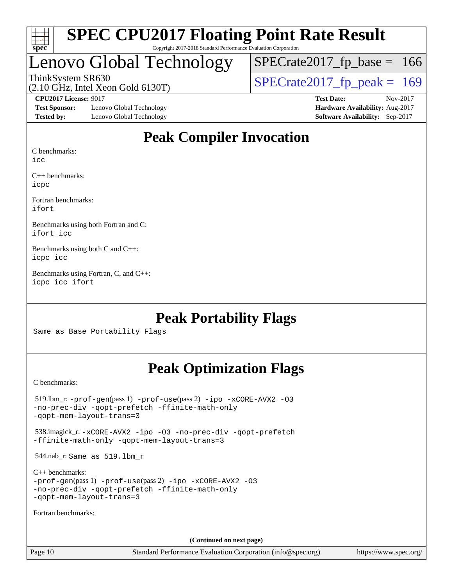

#### **[SPEC CPU2017 Floating Point Rate Result](http://www.spec.org/auto/cpu2017/Docs/result-fields.html#SPECCPU2017FloatingPointRateResult)** Copyright 2017-2018 Standard Performance Evaluation Corporation

## Lenovo Global Technology

ThinkSystem SR630<br>(2.10 GHz, Intel Xeon Gold 6130T)  $SPECTate2017$  [p\_peak = 169  $SPECTate2017_fp\_base = 166$ 

(2.10 GHz, Intel Xeon Gold 6130T)

**[Test Sponsor:](http://www.spec.org/auto/cpu2017/Docs/result-fields.html#TestSponsor)** Lenovo Global Technology **[Hardware Availability:](http://www.spec.org/auto/cpu2017/Docs/result-fields.html#HardwareAvailability)** Aug-2017 **[Tested by:](http://www.spec.org/auto/cpu2017/Docs/result-fields.html#Testedby)** Lenovo Global Technology **[Software Availability:](http://www.spec.org/auto/cpu2017/Docs/result-fields.html#SoftwareAvailability)** Sep-2017

**[CPU2017 License:](http://www.spec.org/auto/cpu2017/Docs/result-fields.html#CPU2017License)** 9017 **[Test Date:](http://www.spec.org/auto/cpu2017/Docs/result-fields.html#TestDate)** Nov-2017

### **[Peak Compiler Invocation](http://www.spec.org/auto/cpu2017/Docs/result-fields.html#PeakCompilerInvocation)**

[C benchmarks:](http://www.spec.org/auto/cpu2017/Docs/result-fields.html#Cbenchmarks)

[icc](http://www.spec.org/cpu2017/results/res2017q4/cpu2017-20171128-01180.flags.html#user_CCpeak_intel_icc_18.0_66fc1ee009f7361af1fbd72ca7dcefbb700085f36577c54f309893dd4ec40d12360134090235512931783d35fd58c0460139e722d5067c5574d8eaf2b3e37e92)

[C++ benchmarks](http://www.spec.org/auto/cpu2017/Docs/result-fields.html#CXXbenchmarks): [icpc](http://www.spec.org/cpu2017/results/res2017q4/cpu2017-20171128-01180.flags.html#user_CXXpeak_intel_icpc_18.0_c510b6838c7f56d33e37e94d029a35b4a7bccf4766a728ee175e80a419847e808290a9b78be685c44ab727ea267ec2f070ec5dc83b407c0218cded6866a35d07)

[Fortran benchmarks:](http://www.spec.org/auto/cpu2017/Docs/result-fields.html#Fortranbenchmarks) [ifort](http://www.spec.org/cpu2017/results/res2017q4/cpu2017-20171128-01180.flags.html#user_FCpeak_intel_ifort_18.0_8111460550e3ca792625aed983ce982f94888b8b503583aa7ba2b8303487b4d8a21a13e7191a45c5fd58ff318f48f9492884d4413fa793fd88dd292cad7027ca)

[Benchmarks using both Fortran and C:](http://www.spec.org/auto/cpu2017/Docs/result-fields.html#BenchmarksusingbothFortranandC) [ifort](http://www.spec.org/cpu2017/results/res2017q4/cpu2017-20171128-01180.flags.html#user_CC_FCpeak_intel_ifort_18.0_8111460550e3ca792625aed983ce982f94888b8b503583aa7ba2b8303487b4d8a21a13e7191a45c5fd58ff318f48f9492884d4413fa793fd88dd292cad7027ca) [icc](http://www.spec.org/cpu2017/results/res2017q4/cpu2017-20171128-01180.flags.html#user_CC_FCpeak_intel_icc_18.0_66fc1ee009f7361af1fbd72ca7dcefbb700085f36577c54f309893dd4ec40d12360134090235512931783d35fd58c0460139e722d5067c5574d8eaf2b3e37e92)

[Benchmarks using both C and C++](http://www.spec.org/auto/cpu2017/Docs/result-fields.html#BenchmarksusingbothCandCXX): [icpc](http://www.spec.org/cpu2017/results/res2017q4/cpu2017-20171128-01180.flags.html#user_CC_CXXpeak_intel_icpc_18.0_c510b6838c7f56d33e37e94d029a35b4a7bccf4766a728ee175e80a419847e808290a9b78be685c44ab727ea267ec2f070ec5dc83b407c0218cded6866a35d07) [icc](http://www.spec.org/cpu2017/results/res2017q4/cpu2017-20171128-01180.flags.html#user_CC_CXXpeak_intel_icc_18.0_66fc1ee009f7361af1fbd72ca7dcefbb700085f36577c54f309893dd4ec40d12360134090235512931783d35fd58c0460139e722d5067c5574d8eaf2b3e37e92)

[Benchmarks using Fortran, C, and C++:](http://www.spec.org/auto/cpu2017/Docs/result-fields.html#BenchmarksusingFortranCandCXX) [icpc](http://www.spec.org/cpu2017/results/res2017q4/cpu2017-20171128-01180.flags.html#user_CC_CXX_FCpeak_intel_icpc_18.0_c510b6838c7f56d33e37e94d029a35b4a7bccf4766a728ee175e80a419847e808290a9b78be685c44ab727ea267ec2f070ec5dc83b407c0218cded6866a35d07) [icc](http://www.spec.org/cpu2017/results/res2017q4/cpu2017-20171128-01180.flags.html#user_CC_CXX_FCpeak_intel_icc_18.0_66fc1ee009f7361af1fbd72ca7dcefbb700085f36577c54f309893dd4ec40d12360134090235512931783d35fd58c0460139e722d5067c5574d8eaf2b3e37e92) [ifort](http://www.spec.org/cpu2017/results/res2017q4/cpu2017-20171128-01180.flags.html#user_CC_CXX_FCpeak_intel_ifort_18.0_8111460550e3ca792625aed983ce982f94888b8b503583aa7ba2b8303487b4d8a21a13e7191a45c5fd58ff318f48f9492884d4413fa793fd88dd292cad7027ca)

### **[Peak Portability Flags](http://www.spec.org/auto/cpu2017/Docs/result-fields.html#PeakPortabilityFlags)**

Same as Base Portability Flags

### **[Peak Optimization Flags](http://www.spec.org/auto/cpu2017/Docs/result-fields.html#PeakOptimizationFlags)**

[C benchmarks](http://www.spec.org/auto/cpu2017/Docs/result-fields.html#Cbenchmarks):

 519.lbm\_r: [-prof-gen](http://www.spec.org/cpu2017/results/res2017q4/cpu2017-20171128-01180.flags.html#user_peakPASS1_CFLAGSPASS1_LDFLAGS519_lbm_r_prof_gen_5aa4926d6013ddb2a31985c654b3eb18169fc0c6952a63635c234f711e6e63dd76e94ad52365559451ec499a2cdb89e4dc58ba4c67ef54ca681ffbe1461d6b36)(pass 1) [-prof-use](http://www.spec.org/cpu2017/results/res2017q4/cpu2017-20171128-01180.flags.html#user_peakPASS2_CFLAGSPASS2_LDFLAGS519_lbm_r_prof_use_1a21ceae95f36a2b53c25747139a6c16ca95bd9def2a207b4f0849963b97e94f5260e30a0c64f4bb623698870e679ca08317ef8150905d41bd88c6f78df73f19)(pass 2) [-ipo](http://www.spec.org/cpu2017/results/res2017q4/cpu2017-20171128-01180.flags.html#user_peakPASS1_COPTIMIZEPASS2_COPTIMIZE519_lbm_r_f-ipo) [-xCORE-AVX2](http://www.spec.org/cpu2017/results/res2017q4/cpu2017-20171128-01180.flags.html#user_peakPASS2_COPTIMIZE519_lbm_r_f-xCORE-AVX2) [-O3](http://www.spec.org/cpu2017/results/res2017q4/cpu2017-20171128-01180.flags.html#user_peakPASS1_COPTIMIZEPASS2_COPTIMIZE519_lbm_r_f-O3) [-no-prec-div](http://www.spec.org/cpu2017/results/res2017q4/cpu2017-20171128-01180.flags.html#user_peakPASS1_COPTIMIZEPASS2_COPTIMIZE519_lbm_r_f-no-prec-div) [-qopt-prefetch](http://www.spec.org/cpu2017/results/res2017q4/cpu2017-20171128-01180.flags.html#user_peakPASS1_COPTIMIZEPASS2_COPTIMIZE519_lbm_r_f-qopt-prefetch) [-ffinite-math-only](http://www.spec.org/cpu2017/results/res2017q4/cpu2017-20171128-01180.flags.html#user_peakPASS1_COPTIMIZEPASS2_COPTIMIZE519_lbm_r_f_finite_math_only_cb91587bd2077682c4b38af759c288ed7c732db004271a9512da14a4f8007909a5f1427ecbf1a0fb78ff2a814402c6114ac565ca162485bbcae155b5e4258871) [-qopt-mem-layout-trans=3](http://www.spec.org/cpu2017/results/res2017q4/cpu2017-20171128-01180.flags.html#user_peakPASS1_COPTIMIZEPASS2_COPTIMIZE519_lbm_r_f-qopt-mem-layout-trans_de80db37974c74b1f0e20d883f0b675c88c3b01e9d123adea9b28688d64333345fb62bc4a798493513fdb68f60282f9a726aa07f478b2f7113531aecce732043) 538.imagick\_r: [-xCORE-AVX2](http://www.spec.org/cpu2017/results/res2017q4/cpu2017-20171128-01180.flags.html#user_peakCOPTIMIZE538_imagick_r_f-xCORE-AVX2) [-ipo](http://www.spec.org/cpu2017/results/res2017q4/cpu2017-20171128-01180.flags.html#user_peakCOPTIMIZE538_imagick_r_f-ipo) [-O3](http://www.spec.org/cpu2017/results/res2017q4/cpu2017-20171128-01180.flags.html#user_peakCOPTIMIZE538_imagick_r_f-O3) [-no-prec-div](http://www.spec.org/cpu2017/results/res2017q4/cpu2017-20171128-01180.flags.html#user_peakCOPTIMIZE538_imagick_r_f-no-prec-div) [-qopt-prefetch](http://www.spec.org/cpu2017/results/res2017q4/cpu2017-20171128-01180.flags.html#user_peakCOPTIMIZE538_imagick_r_f-qopt-prefetch) [-ffinite-math-only](http://www.spec.org/cpu2017/results/res2017q4/cpu2017-20171128-01180.flags.html#user_peakCOPTIMIZE538_imagick_r_f_finite_math_only_cb91587bd2077682c4b38af759c288ed7c732db004271a9512da14a4f8007909a5f1427ecbf1a0fb78ff2a814402c6114ac565ca162485bbcae155b5e4258871) [-qopt-mem-layout-trans=3](http://www.spec.org/cpu2017/results/res2017q4/cpu2017-20171128-01180.flags.html#user_peakCOPTIMIZE538_imagick_r_f-qopt-mem-layout-trans_de80db37974c74b1f0e20d883f0b675c88c3b01e9d123adea9b28688d64333345fb62bc4a798493513fdb68f60282f9a726aa07f478b2f7113531aecce732043) 544.nab\_r: Same as 519.lbm\_r [C++ benchmarks:](http://www.spec.org/auto/cpu2017/Docs/result-fields.html#CXXbenchmarks) [-prof-gen](http://www.spec.org/cpu2017/results/res2017q4/cpu2017-20171128-01180.flags.html#user_CXXpeak_prof_gen_5aa4926d6013ddb2a31985c654b3eb18169fc0c6952a63635c234f711e6e63dd76e94ad52365559451ec499a2cdb89e4dc58ba4c67ef54ca681ffbe1461d6b36)(pass 1) [-prof-use](http://www.spec.org/cpu2017/results/res2017q4/cpu2017-20171128-01180.flags.html#user_CXXpeak_prof_use_1a21ceae95f36a2b53c25747139a6c16ca95bd9def2a207b4f0849963b97e94f5260e30a0c64f4bb623698870e679ca08317ef8150905d41bd88c6f78df73f19)(pass 2) [-ipo](http://www.spec.org/cpu2017/results/res2017q4/cpu2017-20171128-01180.flags.html#user_CXXpeak_f-ipo) [-xCORE-AVX2](http://www.spec.org/cpu2017/results/res2017q4/cpu2017-20171128-01180.flags.html#user_CXXpeak_f-xCORE-AVX2) [-O3](http://www.spec.org/cpu2017/results/res2017q4/cpu2017-20171128-01180.flags.html#user_CXXpeak_f-O3) [-no-prec-div](http://www.spec.org/cpu2017/results/res2017q4/cpu2017-20171128-01180.flags.html#user_CXXpeak_f-no-prec-div) [-qopt-prefetch](http://www.spec.org/cpu2017/results/res2017q4/cpu2017-20171128-01180.flags.html#user_CXXpeak_f-qopt-prefetch) [-ffinite-math-only](http://www.spec.org/cpu2017/results/res2017q4/cpu2017-20171128-01180.flags.html#user_CXXpeak_f_finite_math_only_cb91587bd2077682c4b38af759c288ed7c732db004271a9512da14a4f8007909a5f1427ecbf1a0fb78ff2a814402c6114ac565ca162485bbcae155b5e4258871) [-qopt-mem-layout-trans=3](http://www.spec.org/cpu2017/results/res2017q4/cpu2017-20171128-01180.flags.html#user_CXXpeak_f-qopt-mem-layout-trans_de80db37974c74b1f0e20d883f0b675c88c3b01e9d123adea9b28688d64333345fb62bc4a798493513fdb68f60282f9a726aa07f478b2f7113531aecce732043) [Fortran benchmarks](http://www.spec.org/auto/cpu2017/Docs/result-fields.html#Fortranbenchmarks): **(Continued on next page)**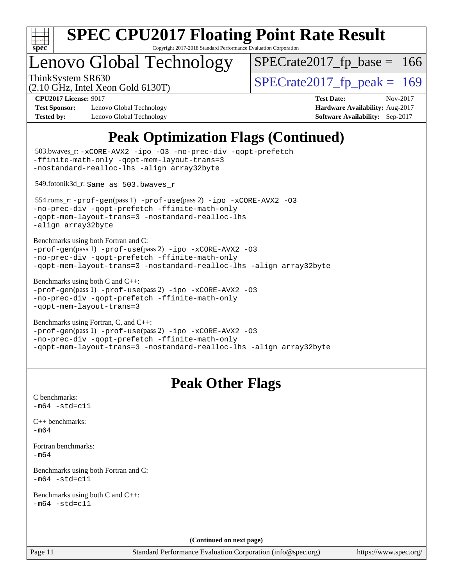

Copyright 2017-2018 Standard Performance Evaluation Corporation

# Lenovo Global Technology

ThinkSystem SR630<br>  $(2.10 \text{ GHz})$  Intel Xeon Gold 6130T) [SPECrate2017\\_fp\\_base =](http://www.spec.org/auto/cpu2017/Docs/result-fields.html#SPECrate2017fpbase) 166

(2.10 GHz, Intel Xeon Gold 6130T)

**[Test Sponsor:](http://www.spec.org/auto/cpu2017/Docs/result-fields.html#TestSponsor)** Lenovo Global Technology **[Hardware Availability:](http://www.spec.org/auto/cpu2017/Docs/result-fields.html#HardwareAvailability)** Aug-2017 **[Tested by:](http://www.spec.org/auto/cpu2017/Docs/result-fields.html#Testedby)** Lenovo Global Technology **[Software Availability:](http://www.spec.org/auto/cpu2017/Docs/result-fields.html#SoftwareAvailability)** Sep-2017

**[CPU2017 License:](http://www.spec.org/auto/cpu2017/Docs/result-fields.html#CPU2017License)** 9017 **[Test Date:](http://www.spec.org/auto/cpu2017/Docs/result-fields.html#TestDate)** Nov-2017

## **[Peak Optimization Flags \(Continued\)](http://www.spec.org/auto/cpu2017/Docs/result-fields.html#PeakOptimizationFlags)**

| 503.bwaves_r: -xCORE-AVX2 -ipo -03 -no-prec-div -qopt-prefetch<br>-ffinite-math-only -qopt-mem-layout-trans=3<br>-nostandard-realloc-lhs -align array32byte                                                                |
|----------------------------------------------------------------------------------------------------------------------------------------------------------------------------------------------------------------------------|
| 549.fotonik3d_r: Same as 503.bwaves_r                                                                                                                                                                                      |
| 554.roms_r:-prof-gen(pass 1) -prof-use(pass 2) -ipo -xCORE-AVX2 -03<br>-no-prec-div -qopt-prefetch -ffinite-math-only<br>-qopt-mem-layout-trans=3 -nostandard-realloc-lhs<br>-align array32byte                            |
| Benchmarks using both Fortran and C:<br>-prof-gen(pass 1) -prof-use(pass 2) -ipo -xCORE-AVX2 -03<br>-no-prec-div -qopt-prefetch -ffinite-math-only<br>-qopt-mem-layout-trans=3 -nostandard-realloc-lhs -align array32byte  |
| Benchmarks using both C and C++:<br>-prof-gen(pass 1) -prof-use(pass 2) -ipo -xCORE-AVX2 -03<br>-no-prec-div -qopt-prefetch -ffinite-math-only<br>-qopt-mem-layout-trans=3                                                 |
| Benchmarks using Fortran, C, and C++:<br>-prof-gen(pass 1) -prof-use(pass 2) -ipo -xCORE-AVX2 -03<br>-no-prec-div -qopt-prefetch -ffinite-math-only<br>-qopt-mem-layout-trans=3 -nostandard-realloc-lhs -align array32byte |
|                                                                                                                                                                                                                            |
| <b>Peak Other Flags</b>                                                                                                                                                                                                    |
| C benchmarks:<br>$-m64 - std= c11$                                                                                                                                                                                         |
| $C++$ benchmarks:<br>$-m64$                                                                                                                                                                                                |
| Fortran benchmarks:<br>$-m64$                                                                                                                                                                                              |
| Benchmarks using both Fortran and C:<br>m64 -std=c11-                                                                                                                                                                      |
| Benchmarks using both C and C++:<br>$-m64 - std = c11$                                                                                                                                                                     |
| (Continued on next page)                                                                                                                                                                                                   |

<https://www.spec.org/>